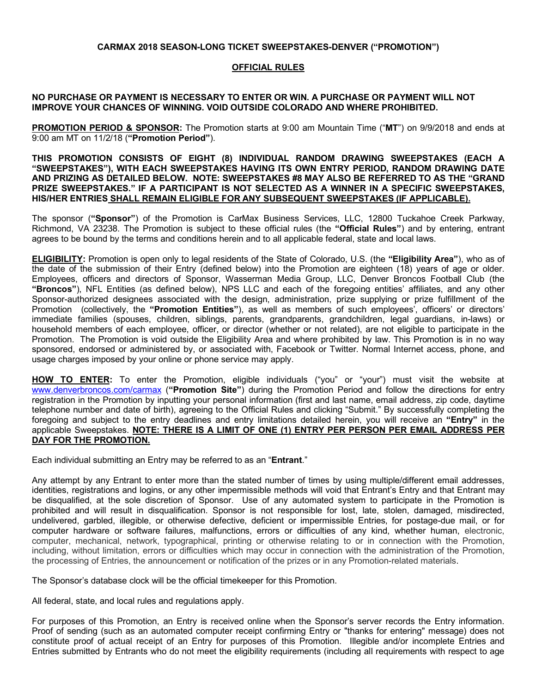### **CARMAX 2018 SEASON-LONG TICKET SWEEPSTAKES-DENVER ("PROMOTION")**

# **OFFICIAL RULES**

### **NO PURCHASE OR PAYMENT IS NECESSARY TO ENTER OR WIN. A PURCHASE OR PAYMENT WILL NOT IMPROVE YOUR CHANCES OF WINNING. VOID OUTSIDE COLORADO AND WHERE PROHIBITED.**

**PROMOTION PERIOD & SPONSOR:** The Promotion starts at 9:00 am Mountain Time ("**MT**") on 9/9/2018 and ends at 9:00 am MT on 11/2/18 (**"Promotion Period"**).

#### **THIS PROMOTION CONSISTS OF EIGHT (8) INDIVIDUAL RANDOM DRAWING SWEEPSTAKES (EACH A "SWEEPSTAKES"), WITH EACH SWEEPSTAKES HAVING ITS OWN ENTRY PERIOD, RANDOM DRAWING DATE AND PRIZING AS DETAILED BELOW. NOTE: SWEEPSTAKES #8 MAY ALSO BE REFERRED TO AS THE "GRAND PRIZE SWEEPSTAKES." IF A PARTICIPANT IS NOT SELECTED AS A WINNER IN A SPECIFIC SWEEPSTAKES, HIS/HER ENTRIES SHALL REMAIN ELIGIBLE FOR ANY SUBSEQUENT SWEEPSTAKES (IF APPLICABLE).**

The sponsor (**"Sponsor"**) of the Promotion is CarMax Business Services, LLC, 12800 Tuckahoe Creek Parkway, Richmond, VA 23238. The Promotion is subject to these official rules (the **"Official Rules"**) and by entering, entrant agrees to be bound by the terms and conditions herein and to all applicable federal, state and local laws.

**ELIGIBILITY:** Promotion is open only to legal residents of the State of Colorado, U.S. (the **"Eligibility Area"**), who as of the date of the submission of their Entry (defined below) into the Promotion are eighteen (18) years of age or older. Employees, officers and directors of Sponsor, Wasserman Media Group, LLC, Denver Broncos Football Club (the **"Broncos"**), NFL Entities (as defined below), NPS LLC and each of the foregoing entities' affiliates, and any other Sponsor-authorized designees associated with the design, administration, prize supplying or prize fulfillment of the Promotion (collectively, the **"Promotion Entities"**), as well as members of such employees', officers' or directors' immediate families (spouses, children, siblings, parents, grandparents, grandchildren, legal guardians, in-laws) or household members of each employee, officer, or director (whether or not related), are not eligible to participate in the Promotion. The Promotion is void outside the Eligibility Area and where prohibited by law. This Promotion is in no way sponsored, endorsed or administered by, or associated with, Facebook or Twitter. Normal Internet access, phone, and usage charges imposed by your online or phone service may apply.

**HOW TO ENTER:** To enter the Promotion, eligible individuals ("you" or "your") must visit the website at www.denverbroncos.com/carmax (**"Promotion Site"**) during the Promotion Period and follow the directions for entry registration in the Promotion by inputting your personal information (first and last name, email address, zip code, daytime telephone number and date of birth), agreeing to the Official Rules and clicking "Submit." By successfully completing the foregoing and subject to the entry deadlines and entry limitations detailed herein, you will receive an **"Entry"** in the applicable Sweepstakes. **NOTE: THERE IS A LIMIT OF ONE (1) ENTRY PER PERSON PER EMAIL ADDRESS PER DAY FOR THE PROMOTION.**

Each individual submitting an Entry may be referred to as an "**Entrant**."

Any attempt by any Entrant to enter more than the stated number of times by using multiple/different email addresses, identities, registrations and logins, or any other impermissible methods will void that Entrant's Entry and that Entrant may be disqualified, at the sole discretion of Sponsor. Use of any automated system to participate in the Promotion is prohibited and will result in disqualification. Sponsor is not responsible for lost, late, stolen, damaged, misdirected, undelivered, garbled, illegible, or otherwise defective, deficient or impermissible Entries, for postage-due mail, or for computer hardware or software failures, malfunctions, errors or difficulties of any kind, whether human, electronic, computer, mechanical, network, typographical, printing or otherwise relating to or in connection with the Promotion, including, without limitation, errors or difficulties which may occur in connection with the administration of the Promotion, the processing of Entries, the announcement or notification of the prizes or in any Promotion-related materials.

The Sponsor's database clock will be the official timekeeper for this Promotion.

All federal, state, and local rules and regulations apply.

For purposes of this Promotion, an Entry is received online when the Sponsor's server records the Entry information. Proof of sending (such as an automated computer receipt confirming Entry or "thanks for entering" message) does not constitute proof of actual receipt of an Entry for purposes of this Promotion. Illegible and/or incomplete Entries and Entries submitted by Entrants who do not meet the eligibility requirements (including all requirements with respect to age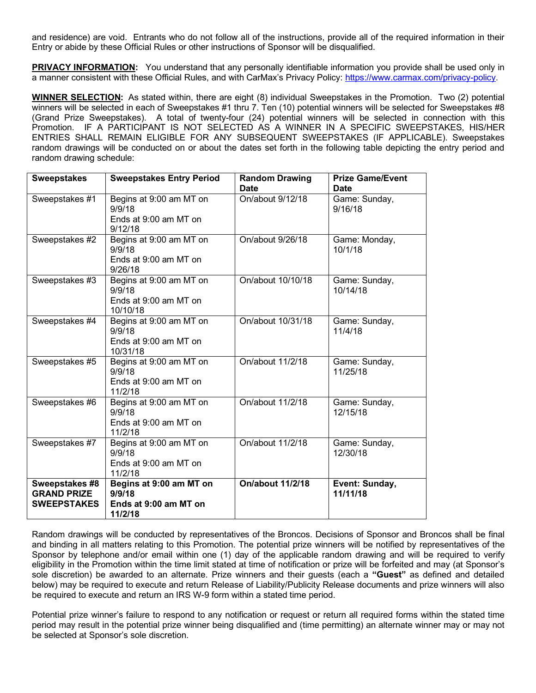and residence) are void. Entrants who do not follow all of the instructions, provide all of the required information in their Entry or abide by these Official Rules or other instructions of Sponsor will be disqualified.

**PRIVACY INFORMATION:** You understand that any personally identifiable information you provide shall be used only in a manner consistent with these Official Rules, and with CarMax's Privacy Policy: https://www.carmax.com/privacy-policy.

**WINNER SELECTION:** As stated within, there are eight (8) individual Sweepstakes in the Promotion. Two (2) potential winners will be selected in each of Sweepstakes #1 thru 7. Ten (10) potential winners will be selected for Sweepstakes #8 (Grand Prize Sweepstakes). A total of twenty-four (24) potential winners will be selected in connection with this Promotion. IF A PARTICIPANT IS NOT SELECTED AS A WINNER IN A SPECIFIC SWEEPSTAKES, HIS/HER ENTRIES SHALL REMAIN ELIGIBLE FOR ANY SUBSEQUENT SWEEPSTAKES (IF APPLICABLE). Sweepstakes random drawings will be conducted on or about the dates set forth in the following table depicting the entry period and random drawing schedule:

| <b>Sweepstakes</b>                                         | <b>Sweepstakes Entry Period</b>                                        | <b>Random Drawing</b>           | <b>Prize Game/Event</b>                 |
|------------------------------------------------------------|------------------------------------------------------------------------|---------------------------------|-----------------------------------------|
| Sweepstakes #1                                             | Begins at 9:00 am MT on<br>9/9/18<br>Ends at 9:00 am MT on<br>9/12/18  | <b>Date</b><br>On/about 9/12/18 | <b>Date</b><br>Game: Sunday,<br>9/16/18 |
| Sweepstakes #2                                             | Begins at 9:00 am MT on<br>9/9/18<br>Ends at 9:00 am MT on<br>9/26/18  | On/about 9/26/18                | Game: Monday,<br>10/1/18                |
| Sweepstakes #3                                             | Begins at 9:00 am MT on<br>9/9/18<br>Ends at 9:00 am MT on<br>10/10/18 | On/about 10/10/18               | Game: Sunday,<br>10/14/18               |
| Sweepstakes #4                                             | Begins at 9:00 am MT on<br>9/9/18<br>Ends at 9:00 am MT on<br>10/31/18 | On/about 10/31/18               | Game: Sunday,<br>11/4/18                |
| Sweepstakes #5                                             | Begins at 9:00 am MT on<br>9/9/18<br>Ends at 9:00 am MT on<br>11/2/18  | On/about 11/2/18                | Game: Sunday,<br>11/25/18               |
| Sweepstakes #6                                             | Begins at 9:00 am MT on<br>9/9/18<br>Ends at 9:00 am MT on<br>11/2/18  | On/about 11/2/18                | Game: Sunday,<br>12/15/18               |
| Sweepstakes #7                                             | Begins at 9:00 am MT on<br>9/9/18<br>Ends at 9:00 am MT on<br>11/2/18  | On/about 11/2/18                | Game: Sunday,<br>12/30/18               |
| Sweepstakes #8<br><b>GRAND PRIZE</b><br><b>SWEEPSTAKES</b> | Begins at 9:00 am MT on<br>9/9/18<br>Ends at 9:00 am MT on<br>11/2/18  | <b>On/about 11/2/18</b>         | Event: Sunday,<br>11/11/18              |

Random drawings will be conducted by representatives of the Broncos. Decisions of Sponsor and Broncos shall be final and binding in all matters relating to this Promotion. The potential prize winners will be notified by representatives of the Sponsor by telephone and/or email within one (1) day of the applicable random drawing and will be required to verify eligibility in the Promotion within the time limit stated at time of notification or prize will be forfeited and may (at Sponsor's sole discretion) be awarded to an alternate. Prize winners and their guests (each a **"Guest"** as defined and detailed below) may be required to execute and return Release of Liability/Publicity Release documents and prize winners will also be required to execute and return an IRS W-9 form within a stated time period.

Potential prize winner's failure to respond to any notification or request or return all required forms within the stated time period may result in the potential prize winner being disqualified and (time permitting) an alternate winner may or may not be selected at Sponsor's sole discretion.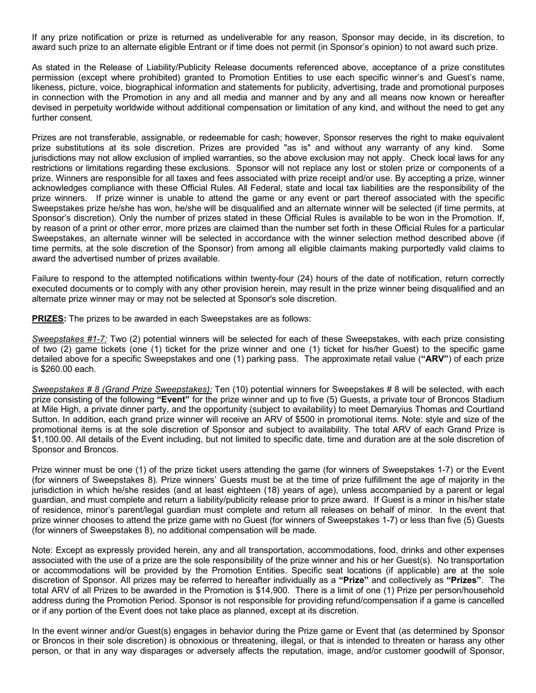If any prize notification or prize is returned as undeliverable for any reason, Sponsor may decide, in its discretion, to award such prize to an alternate eligible Entrant or if time does not permit (in Sponsor's opinion) to not award such prize.

As stated in the Release of Liability/Publicity Release documents referenced above, acceptance of a prize constitutes permission (except where prohibited) granted to Promotion Entities to use each specific winner's and Guest's name, likeness, picture, voice, biographical information and statements for publicity, advertising, trade and promotional purposes in connection with the Promotion in any and all media and manner and by any and all means now known or hereafter devised in perpetuity worldwide without additional compensation or limitation of any kind, and without the need to get any further consent.

Prizes are not transferable, assignable, or redeemable for cash; however, Sponsor reserves the right to make equivalent prize substitutions at its sole discretion. Prizes are provided "as is" and without any warranty of any kind. Some jurisdictions may not allow exclusion of implied warranties, so the above exclusion may not apply. Check local laws for any restrictions or limitations regarding these exclusions. Sponsor will not replace any lost or stolen prize or components of a prize. Winners are responsible for all taxes and fees associated with prize receipt and/or use. By accepting a prize, winner acknowledges compliance with these Official Rules. All Federal, state and local tax liabilities are the responsibility of the prize winners. If prize winner is unable to attend the game or any event or part thereof associated with the specific Sweepstakes prize he/she has won, he/she will be disqualified and an alternate winner will be selected (if time permits, at Sponsor's discretion). Only the number of prizes stated in these Official Rules is available to be won in the Promotion. If, by reason of a print or other error, more prizes are claimed than the number set forth in these Official Rules for a particular Sweepstakes, an alternate winner will be selected in accordance with the winner selection method described above (if time permits, at the sole discretion of the Sponsor) from among all eligible claimants making purportedly valid claims to award the advertised number of prizes available.

Failure to respond to the attempted notifications within twenty-four (24) hours of the date of notification, return correctly executed documents or to comply with any other provision herein, may result in the prize winner being disqualified and an alternate prize winner may or may not be selected at Sponsor's sole discretion.

**PRIZES:** The prizes to be awarded in each Sweepstakes are as follows:

*Sweepstakes #1-7:* Two (2) potential winners will be selected for each of these Sweepstakes, with each prize consisting of two (2) game tickets (one (1) ticket for the prize winner and one (1) ticket for his/her Guest) to the specific game detailed above for a specific Sweepstakes and one (1) parking pass. The approximate retail value (**"ARV"**) of each prize is \$260.00 each.

*Sweepstakes # 8 (Grand Prize Sweepstakes):* Ten (10) potential winners for Sweepstakes # 8 will be selected, with each prize consisting of the following **"Event"** for the prize winner and up to five (5) Guests, a private tour of Broncos Stadium at Mile High, a private dinner party, and the opportunity (subject to availability) to meet Demaryius Thomas and Courtland Sutton. In addition, each grand prize winner will receive an ARV of \$500 in promotional items. Note: style and size of the promotional items is at the sole discretion of Sponsor and subject to availability. The total ARV of each Grand Prize is \$1,100.00. All details of the Event including, but not limited to specific date, time and duration are at the sole discretion of Sponsor and Broncos.

Prize winner must be one (1) of the prize ticket users attending the game (for winners of Sweepstakes 1-7) or the Event (for winners of Sweepstakes 8). Prize winners' Guests must be at the time of prize fulfillment the age of majority in the jurisdiction in which he/she resides (and at least eighteen (18) years of age), unless accompanied by a parent or legal guardian, and must complete and return a liability/publicity release prior to prize award. If Guest is a minor in his/her state of residence, minor's parent/legal guardian must complete and return all releases on behalf of minor. In the event that prize winner chooses to attend the prize game with no Guest (for winners of Sweepstakes 1-7) or less than five (5) Guests (for winners of Sweepstakes 8), no additional compensation will be made.

Note: Except as expressly provided herein, any and all transportation, accommodations, food, drinks and other expenses associated with the use of a prize are the sole responsibility of the prize winner and his or her Guest(s). No transportation or accommodations will be provided by the Promotion Entities. Specific seat locations (if applicable) are at the sole discretion of Sponsor. All prizes may be referred to hereafter individually as a **"Prize"** and collectively as **"Prizes"**. The total ARV of all Prizes to be awarded in the Promotion is \$14,900. There is a limit of one (1) Prize per person/household address during the Promotion Period. Sponsor is not responsible for providing refund/compensation if a game is cancelled or if any portion of the Event does not take place as planned, except at its discretion.

In the event winner and/or Guest(s) engages in behavior during the Prize game or Event that (as determined by Sponsor or Broncos in their sole discretion) is obnoxious or threatening, illegal, or that is intended to threaten or harass any other person, or that in any way disparages or adversely affects the reputation, image, and/or customer goodwill of Sponsor,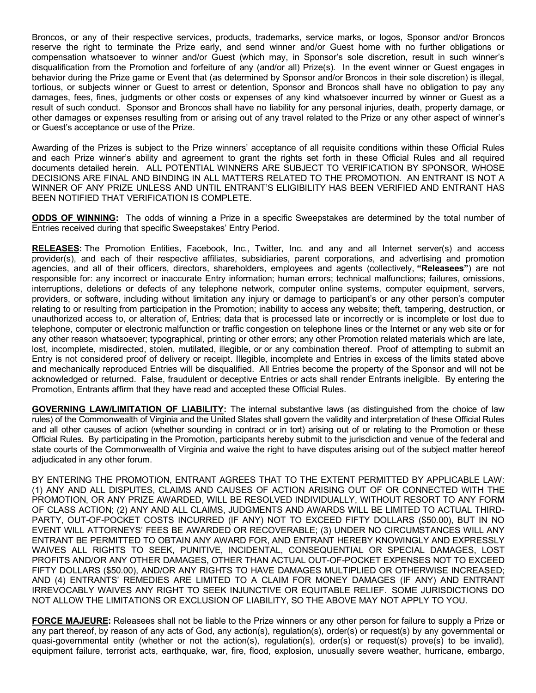Broncos, or any of their respective services, products, trademarks, service marks, or logos, Sponsor and/or Broncos reserve the right to terminate the Prize early, and send winner and/or Guest home with no further obligations or compensation whatsoever to winner and/or Guest (which may, in Sponsor's sole discretion, result in such winner's disqualification from the Promotion and forfeiture of any (and/or all) Prize(s). In the event winner or Guest engages in behavior during the Prize game or Event that (as determined by Sponsor and/or Broncos in their sole discretion) is illegal, tortious, or subjects winner or Guest to arrest or detention, Sponsor and Broncos shall have no obligation to pay any damages, fees, fines, judgments or other costs or expenses of any kind whatsoever incurred by winner or Guest as a result of such conduct. Sponsor and Broncos shall have no liability for any personal injuries, death, property damage, or other damages or expenses resulting from or arising out of any travel related to the Prize or any other aspect of winner's or Guest's acceptance or use of the Prize.

Awarding of the Prizes is subject to the Prize winners' acceptance of all requisite conditions within these Official Rules and each Prize winner's ability and agreement to grant the rights set forth in these Official Rules and all required documents detailed herein. ALL POTENTIAL WINNERS ARE SUBJECT TO VERIFICATION BY SPONSOR, WHOSE DECISIONS ARE FINAL AND BINDING IN ALL MATTERS RELATED TO THE PROMOTION. AN ENTRANT IS NOT A WINNER OF ANY PRIZE UNLESS AND UNTIL ENTRANT'S ELIGIBILITY HAS BEEN VERIFIED AND ENTRANT HAS BEEN NOTIFIED THAT VERIFICATION IS COMPLETE.

**ODDS OF WINNING:** The odds of winning a Prize in a specific Sweepstakes are determined by the total number of Entries received during that specific Sweepstakes' Entry Period.

**RELEASES:** The Promotion Entities, Facebook, Inc., Twitter, Inc. and any and all Internet server(s) and access provider(s), and each of their respective affiliates, subsidiaries, parent corporations, and advertising and promotion agencies, and all of their officers, directors, shareholders, employees and agents (collectively, **"Releasees"**) are not responsible for: any incorrect or inaccurate Entry information; human errors; technical malfunctions; failures, omissions, interruptions, deletions or defects of any telephone network, computer online systems, computer equipment, servers, providers, or software, including without limitation any injury or damage to participant's or any other person's computer relating to or resulting from participation in the Promotion; inability to access any website; theft, tampering, destruction, or unauthorized access to, or alteration of, Entries; data that is processed late or incorrectly or is incomplete or lost due to telephone, computer or electronic malfunction or traffic congestion on telephone lines or the Internet or any web site or for any other reason whatsoever; typographical, printing or other errors; any other Promotion related materials which are late, lost, incomplete, misdirected, stolen, mutilated, illegible, or or any combination thereof. Proof of attempting to submit an Entry is not considered proof of delivery or receipt. Illegible, incomplete and Entries in excess of the limits stated above and mechanically reproduced Entries will be disqualified. All Entries become the property of the Sponsor and will not be acknowledged or returned. False, fraudulent or deceptive Entries or acts shall render Entrants ineligible. By entering the Promotion, Entrants affirm that they have read and accepted these Official Rules.

**GOVERNING LAW/LIMITATION OF LIABILITY:** The internal substantive laws (as distinguished from the choice of law rules) of the Commonwealth of Virginia and the United States shall govern the validity and interpretation of these Official Rules and all other causes of action (whether sounding in contract or in tort) arising out of or relating to the Promotion or these Official Rules. By participating in the Promotion, participants hereby submit to the jurisdiction and venue of the federal and state courts of the Commonwealth of Virginia and waive the right to have disputes arising out of the subject matter hereof adjudicated in any other forum.

BY ENTERING THE PROMOTION, ENTRANT AGREES THAT TO THE EXTENT PERMITTED BY APPLICABLE LAW: (1) ANY AND ALL DISPUTES, CLAIMS AND CAUSES OF ACTION ARISING OUT OF OR CONNECTED WITH THE PROMOTION, OR ANY PRIZE AWARDED, WILL BE RESOLVED INDIVIDUALLY, WITHOUT RESORT TO ANY FORM OF CLASS ACTION; (2) ANY AND ALL CLAIMS, JUDGMENTS AND AWARDS WILL BE LIMITED TO ACTUAL THIRD-PARTY, OUT-OF-POCKET COSTS INCURRED (IF ANY) NOT TO EXCEED FIFTY DOLLARS (\$50.00), BUT IN NO EVENT WILL ATTORNEYS' FEES BE AWARDED OR RECOVERABLE; (3) UNDER NO CIRCUMSTANCES WILL ANY ENTRANT BE PERMITTED TO OBTAIN ANY AWARD FOR, AND ENTRANT HEREBY KNOWINGLY AND EXPRESSLY WAIVES ALL RIGHTS TO SEEK, PUNITIVE, INCIDENTAL, CONSEQUENTIAL OR SPECIAL DAMAGES, LOST PROFITS AND/OR ANY OTHER DAMAGES, OTHER THAN ACTUAL OUT-OF-POCKET EXPENSES NOT TO EXCEED FIFTY DOLLARS (\$50.00), AND/OR ANY RIGHTS TO HAVE DAMAGES MULTIPLIED OR OTHERWISE INCREASED; AND (4) ENTRANTS' REMEDIES ARE LIMITED TO A CLAIM FOR MONEY DAMAGES (IF ANY) AND ENTRANT IRREVOCABLY WAIVES ANY RIGHT TO SEEK INJUNCTIVE OR EQUITABLE RELIEF. SOME JURISDICTIONS DO NOT ALLOW THE LIMITATIONS OR EXCLUSION OF LIABILITY, SO THE ABOVE MAY NOT APPLY TO YOU.

**FORCE MAJEURE:** Releasees shall not be liable to the Prize winners or any other person for failure to supply a Prize or any part thereof, by reason of any acts of God, any action(s), regulation(s), order(s) or request(s) by any governmental or quasi-governmental entity (whether or not the action(s), regulation(s), order(s) or request(s) prove(s) to be invalid), equipment failure, terrorist acts, earthquake, war, fire, flood, explosion, unusually severe weather, hurricane, embargo,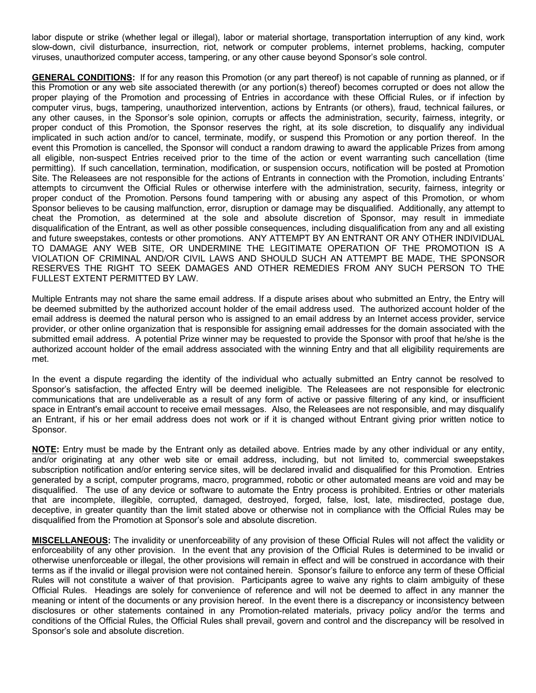labor dispute or strike (whether legal or illegal), labor or material shortage, transportation interruption of any kind, work slow-down, civil disturbance, insurrection, riot, network or computer problems, internet problems, hacking, computer viruses, unauthorized computer access, tampering, or any other cause beyond Sponsor's sole control.

**GENERAL CONDITIONS:** If for any reason this Promotion (or any part thereof) is not capable of running as planned, or if this Promotion or any web site associated therewith (or any portion(s) thereof) becomes corrupted or does not allow the proper playing of the Promotion and processing of Entries in accordance with these Official Rules, or if infection by computer virus, bugs, tampering, unauthorized intervention, actions by Entrants (or others), fraud, technical failures, or any other causes, in the Sponsor's sole opinion, corrupts or affects the administration, security, fairness, integrity, or proper conduct of this Promotion, the Sponsor reserves the right, at its sole discretion, to disqualify any individual implicated in such action and/or to cancel, terminate, modify, or suspend this Promotion or any portion thereof. In the event this Promotion is cancelled, the Sponsor will conduct a random drawing to award the applicable Prizes from among all eligible, non-suspect Entries received prior to the time of the action or event warranting such cancellation (time permitting). If such cancellation, termination, modification, or suspension occurs, notification will be posted at Promotion Site. The Releasees are not responsible for the actions of Entrants in connection with the Promotion, including Entrants' attempts to circumvent the Official Rules or otherwise interfere with the administration, security, fairness, integrity or proper conduct of the Promotion. Persons found tampering with or abusing any aspect of this Promotion, or whom Sponsor believes to be causing malfunction, error, disruption or damage may be disqualified. Additionally, any attempt to cheat the Promotion, as determined at the sole and absolute discretion of Sponsor, may result in immediate disqualification of the Entrant, as well as other possible consequences, including disqualification from any and all existing and future sweepstakes, contests or other promotions. ANY ATTEMPT BY AN ENTRANT OR ANY OTHER INDIVIDUAL TO DAMAGE ANY WEB SITE, OR UNDERMINE THE LEGITIMATE OPERATION OF THE PROMOTION IS A VIOLATION OF CRIMINAL AND/OR CIVIL LAWS AND SHOULD SUCH AN ATTEMPT BE MADE, THE SPONSOR RESERVES THE RIGHT TO SEEK DAMAGES AND OTHER REMEDIES FROM ANY SUCH PERSON TO THE FULLEST EXTENT PERMITTED BY LAW.

Multiple Entrants may not share the same email address. If a dispute arises about who submitted an Entry, the Entry will be deemed submitted by the authorized account holder of the email address used. The authorized account holder of the email address is deemed the natural person who is assigned to an email address by an Internet access provider, service provider, or other online organization that is responsible for assigning email addresses for the domain associated with the submitted email address. A potential Prize winner may be requested to provide the Sponsor with proof that he/she is the authorized account holder of the email address associated with the winning Entry and that all eligibility requirements are met.

In the event a dispute regarding the identity of the individual who actually submitted an Entry cannot be resolved to Sponsor's satisfaction, the affected Entry will be deemed ineligible. The Releasees are not responsible for electronic communications that are undeliverable as a result of any form of active or passive filtering of any kind, or insufficient space in Entrant's email account to receive email messages. Also, the Releasees are not responsible, and may disqualify an Entrant, if his or her email address does not work or if it is changed without Entrant giving prior written notice to Sponsor.

**NOTE:** Entry must be made by the Entrant only as detailed above. Entries made by any other individual or any entity, and/or originating at any other web site or email address, including, but not limited to, commercial sweepstakes subscription notification and/or entering service sites, will be declared invalid and disqualified for this Promotion. Entries generated by a script, computer programs, macro, programmed, robotic or other automated means are void and may be disqualified. The use of any device or software to automate the Entry process is prohibited. Entries or other materials that are incomplete, illegible, corrupted, damaged, destroyed, forged, false, lost, late, misdirected, postage due, deceptive, in greater quantity than the limit stated above or otherwise not in compliance with the Official Rules may be disqualified from the Promotion at Sponsor's sole and absolute discretion.

**MISCELLANEOUS:** The invalidity or unenforceability of any provision of these Official Rules will not affect the validity or enforceability of any other provision. In the event that any provision of the Official Rules is determined to be invalid or otherwise unenforceable or illegal, the other provisions will remain in effect and will be construed in accordance with their terms as if the invalid or illegal provision were not contained herein. Sponsor's failure to enforce any term of these Official Rules will not constitute a waiver of that provision. Participants agree to waive any rights to claim ambiguity of these Official Rules. Headings are solely for convenience of reference and will not be deemed to affect in any manner the meaning or intent of the documents or any provision hereof. In the event there is a discrepancy or inconsistency between disclosures or other statements contained in any Promotion-related materials, privacy policy and/or the terms and conditions of the Official Rules, the Official Rules shall prevail, govern and control and the discrepancy will be resolved in Sponsor's sole and absolute discretion.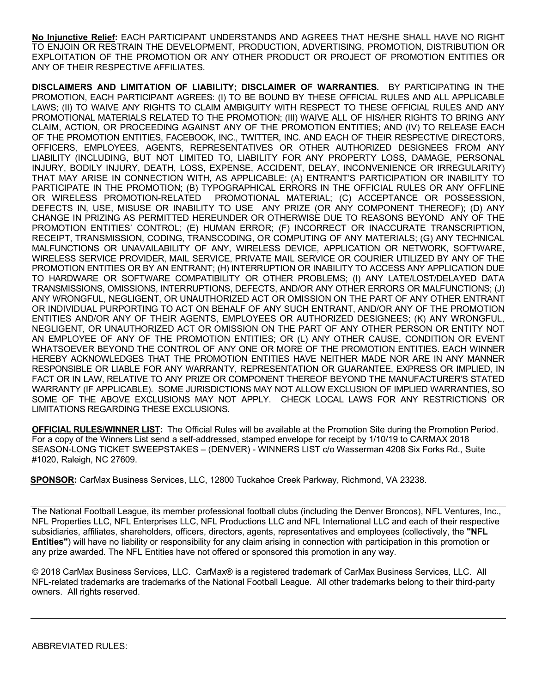**No Injunctive Relief:** EACH PARTICIPANT UNDERSTANDS AND AGREES THAT HE/SHE SHALL HAVE NO RIGHT TO ENJOIN OR RESTRAIN THE DEVELOPMENT, PRODUCTION, ADVERTISING, PROMOTION, DISTRIBUTION OR EXPLOITATION OF THE PROMOTION OR ANY OTHER PRODUCT OR PROJECT OF PROMOTION ENTITIES OR ANY OF THEIR RESPECTIVE AFFILIATES.

**DISCLAIMERS AND LIMITATION OF LIABILITY; DISCLAIMER OF WARRANTIES.** BY PARTICIPATING IN THE PROMOTION, EACH PARTICIPANT AGREES: (I) TO BE BOUND BY THESE OFFICIAL RULES AND ALL APPLICABLE LAWS; (II) TO WAIVE ANY RIGHTS TO CLAIM AMBIGUITY WITH RESPECT TO THESE OFFICIAL RULES AND ANY PROMOTIONAL MATERIALS RELATED TO THE PROMOTION; (III) WAIVE ALL OF HIS/HER RIGHTS TO BRING ANY CLAIM, ACTION, OR PROCEEDING AGAINST ANY OF THE PROMOTION ENTITIES; AND (IV) TO RELEASE EACH OF THE PROMOTION ENTITIES, FACEBOOK, INC., TWITTER, INC. AND EACH OF THEIR RESPECTIVE DIRECTORS, OFFICERS, EMPLOYEES, AGENTS, REPRESENTATIVES OR OTHER AUTHORIZED DESIGNEES FROM ANY LIABILITY (INCLUDING, BUT NOT LIMITED TO, LIABILITY FOR ANY PROPERTY LOSS, DAMAGE, PERSONAL INJURY, BODILY INJURY, DEATH, LOSS, EXPENSE, ACCIDENT, DELAY, INCONVENIENCE OR IRREGULARITY) THAT MAY ARISE IN CONNECTION WITH, AS APPLICABLE: (A) ENTRANT'S PARTICIPATION OR INABILITY TO PARTICIPATE IN THE PROMOTION; (B) TYPOGRAPHICAL ERRORS IN THE OFFICIAL RULES OR ANY OFFLINE OR WIRELESS PROMOTION-RELATED PROMOTIONAL MATERIAL; (C) ACCEPTANCE OR POSSESSION, DEFECTS IN, USE, MISUSE OR INABILITY TO USE ANY PRIZE (OR ANY COMPONENT THEREOF); (D) ANY CHANGE IN PRIZING AS PERMITTED HEREUNDER OR OTHERWISE DUE TO REASONS BEYOND ANY OF THE PROMOTION ENTITIES' CONTROL; (E) HUMAN ERROR; (F) INCORRECT OR INACCURATE TRANSCRIPTION, RECEIPT, TRANSMISSION, CODING, TRANSCODING, OR COMPUTING OF ANY MATERIALS; (G) ANY TECHNICAL MALFUNCTIONS OR UNAVAILABILITY OF ANY, WIRELESS DEVICE, APPLICATION OR NETWORK, SOFTWARE, WIRELESS SERVICE PROVIDER, MAIL SERVICE, PRIVATE MAIL SERVICE OR COURIER UTILIZED BY ANY OF THE PROMOTION ENTITIES OR BY AN ENTRANT; (H) INTERRUPTION OR INABILITY TO ACCESS ANY APPLICATION DUE TO HARDWARE OR SOFTWARE COMPATIBILITY OR OTHER PROBLEMS; (I) ANY LATE/LOST/DELAYED DATA TRANSMISSIONS, OMISSIONS, INTERRUPTIONS, DEFECTS, AND/OR ANY OTHER ERRORS OR MALFUNCTIONS; (J) ANY WRONGFUL, NEGLIGENT, OR UNAUTHORIZED ACT OR OMISSION ON THE PART OF ANY OTHER ENTRANT OR INDIVIDUAL PURPORTING TO ACT ON BEHALF OF ANY SUCH ENTRANT, AND/OR ANY OF THE PROMOTION ENTITIES AND/OR ANY OF THEIR AGENTS, EMPLOYEES OR AUTHORIZED DESIGNEES; (K) ANY WRONGFUL, NEGLIGENT, OR UNAUTHORIZED ACT OR OMISSION ON THE PART OF ANY OTHER PERSON OR ENTITY NOT AN EMPLOYEE OF ANY OF THE PROMOTION ENTITIES; OR (L) ANY OTHER CAUSE, CONDITION OR EVENT WHATSOEVER BEYOND THE CONTROL OF ANY ONE OR MORE OF THE PROMOTION ENTITIES. EACH WINNER HEREBY ACKNOWLEDGES THAT THE PROMOTION ENTITIES HAVE NEITHER MADE NOR ARE IN ANY MANNER RESPONSIBLE OR LIABLE FOR ANY WARRANTY, REPRESENTATION OR GUARANTEE, EXPRESS OR IMPLIED, IN FACT OR IN LAW, RELATIVE TO ANY PRIZE OR COMPONENT THEREOF BEYOND THE MANUFACTURER'S STATED WARRANTY (IF APPLICABLE). SOME JURISDICTIONS MAY NOT ALLOW EXCLUSION OF IMPLIED WARRANTIES, SO SOME OF THE ABOVE EXCLUSIONS MAY NOT APPLY. CHECK LOCAL LAWS FOR ANY RESTRICTIONS OR LIMITATIONS REGARDING THESE EXCLUSIONS.

**OFFICIAL RULES/WINNER LIST:** The Official Rules will be available at the Promotion Site during the Promotion Period. For a copy of the Winners List send a self-addressed, stamped envelope for receipt by 1/10/19 to CARMAX 2018 SEASON-LONG TICKET SWEEPSTAKES – (DENVER) - WINNERS LIST c/o Wasserman 4208 Six Forks Rd., Suite #1020, Raleigh, NC 27609.

**SPONSOR:** CarMax Business Services, LLC, 12800 Tuckahoe Creek Parkway, Richmond, VA 23238.

The National Football League, its member professional football clubs (including the Denver Broncos), NFL Ventures, Inc., NFL Properties LLC, NFL Enterprises LLC, NFL Productions LLC and NFL International LLC and each of their respective subsidiaries, affiliates, shareholders, officers, directors, agents, representatives and employees (collectively, the **"NFL Entities"**) will have no liability or responsibility for any claim arising in connection with participation in this promotion or any prize awarded. The NFL Entities have not offered or sponsored this promotion in any way.

© 2018 CarMax Business Services, LLC. CarMax® is a registered trademark of CarMax Business Services, LLC. All NFL-related trademarks are trademarks of the National Football League. All other trademarks belong to their third-party owners. All rights reserved.